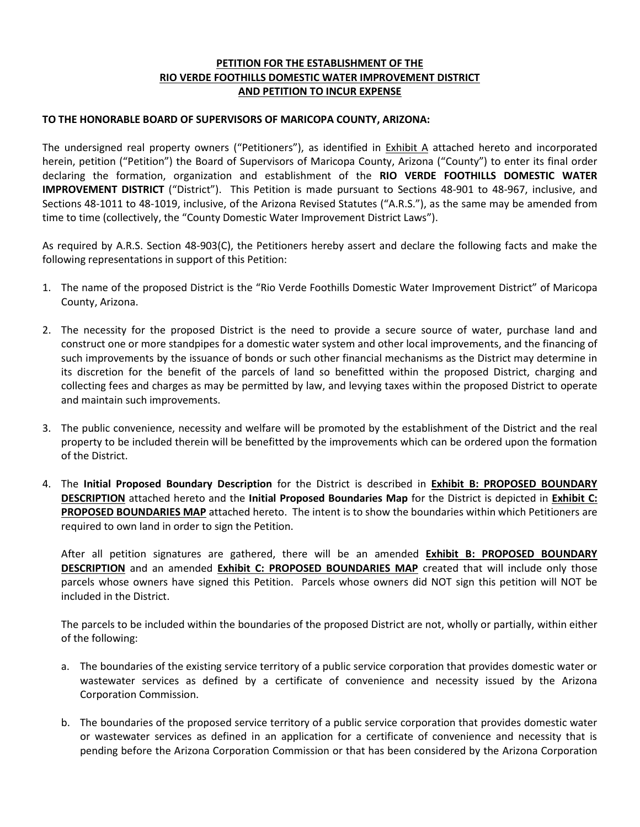## **PETITION FOR THE ESTABLISHMENT OF THE RIO VERDE FOOTHILLS DOMESTIC WATER IMPROVEMENT DISTRICT AND PETITION TO INCUR EXPENSE**

#### **TO THE HONORABLE BOARD OF SUPERVISORS OF MARICOPA COUNTY, ARIZONA:**

The undersigned real property owners ("Petitioners"), as identified in **Exhibit A** attached hereto and incorporated herein, petition ("Petition") the Board of Supervisors of Maricopa County, Arizona ("County") to enter its final order declaring the formation, organization and establishment of the **RIO VERDE FOOTHILLS DOMESTIC WATER IMPROVEMENT DISTRICT** ("District"). This Petition is made pursuant to Sections 48-901 to 48-967, inclusive, and Sections 48-1011 to 48-1019, inclusive, of the Arizona Revised Statutes ("A.R.S."), as the same may be amended from time to time (collectively, the "County Domestic Water Improvement District Laws").

As required by A.R.S. Section 48-903(C), the Petitioners hereby assert and declare the following facts and make the following representations in support of this Petition:

- 1. The name of the proposed District is the "Rio Verde Foothills Domestic Water Improvement District" of Maricopa County, Arizona.
- 2. The necessity for the proposed District is the need to provide a secure source of water, purchase land and construct one or more standpipes for a domestic water system and other local improvements, and the financing of such improvements by the issuance of bonds or such other financial mechanisms as the District may determine in its discretion for the benefit of the parcels of land so benefitted within the proposed District, charging and collecting fees and charges as may be permitted by law, and levying taxes within the proposed District to operate and maintain such improvements.
- 3. The public convenience, necessity and welfare will be promoted by the establishment of the District and the real property to be included therein will be benefitted by the improvements which can be ordered upon the formation of the District.
- 4. The **Initial Proposed Boundary Description** for the District is described in **Exhibit B: PROPOSED BOUNDARY DESCRIPTION** attached hereto and the **Initial Proposed Boundaries Map** for the District is depicted in **Exhibit C: PROPOSED BOUNDARIES MAP** attached hereto. The intent is to show the boundaries within which Petitioners are required to own land in order to sign the Petition.

After all petition signatures are gathered, there will be an amended **Exhibit B: PROPOSED BOUNDARY DESCRIPTION** and an amended **Exhibit C: PROPOSED BOUNDARIES MAP** created that will include only those parcels whose owners have signed this Petition. Parcels whose owners did NOT sign this petition will NOT be included in the District.

The parcels to be included within the boundaries of the proposed District are not, wholly or partially, within either of the following:

- a. The boundaries of the existing service territory of a public service corporation that provides domestic water or wastewater services as defined by a certificate of convenience and necessity issued by the Arizona Corporation Commission.
- b. The boundaries of the proposed service territory of a public service corporation that provides domestic water or wastewater services as defined in an application for a certificate of convenience and necessity that is pending before the Arizona Corporation Commission or that has been considered by the Arizona Corporation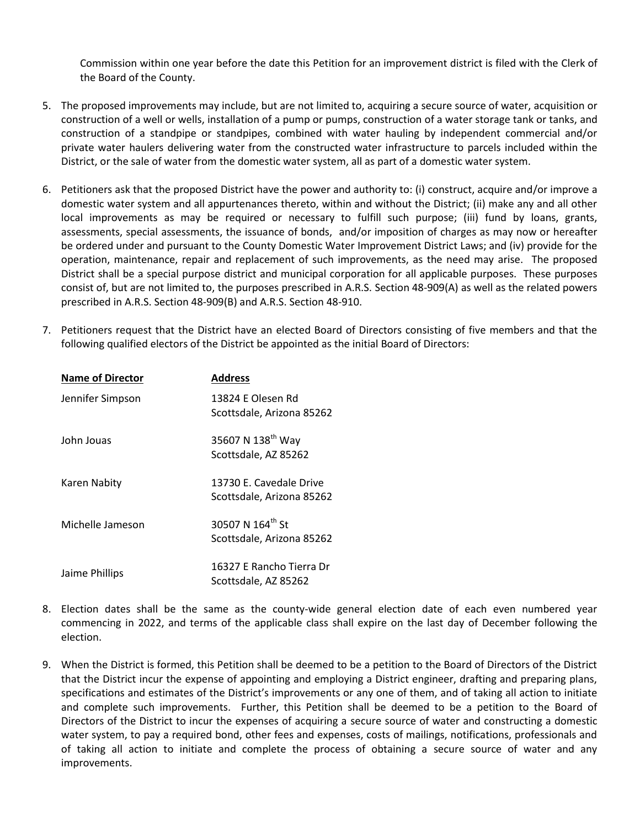Commission within one year before the date this Petition for an improvement district is filed with the Clerk of the Board of the County.

- 5. The proposed improvements may include, but are not limited to, acquiring a secure source of water, acquisition or construction of a well or wells, installation of a pump or pumps, construction of a water storage tank or tanks, and construction of a standpipe or standpipes, combined with water hauling by independent commercial and/or private water haulers delivering water from the constructed water infrastructure to parcels included within the District, or the sale of water from the domestic water system, all as part of a domestic water system.
- 6. Petitioners ask that the proposed District have the power and authority to: (i) construct, acquire and/or improve a domestic water system and all appurtenances thereto, within and without the District; (ii) make any and all other local improvements as may be required or necessary to fulfill such purpose; (iii) fund by loans, grants, assessments, special assessments, the issuance of bonds, and/or imposition of charges as may now or hereafter be ordered under and pursuant to the County Domestic Water Improvement District Laws; and (iv) provide for the operation, maintenance, repair and replacement of such improvements, as the need may arise. The proposed District shall be a special purpose district and municipal corporation for all applicable purposes. These purposes consist of, but are not limited to, the purposes prescribed in A.R.S. Section 48-909(A) as well as the related powers prescribed in A.R.S. Section 48-909(B) and A.R.S. Section 48-910.
- 7. Petitioners request that the District have an elected Board of Directors consisting of five members and that the following qualified electors of the District be appointed as the initial Board of Directors:

| <b>Name of Director</b> | <b>Address</b>                                            |
|-------------------------|-----------------------------------------------------------|
| Jennifer Simpson        | 13824 E Olesen Rd<br>Scottsdale, Arizona 85262            |
| John Jouas              | 35607 N 138 <sup>th</sup> Way<br>Scottsdale, AZ 85262     |
| Karen Nabity            | 13730 E. Cavedale Drive<br>Scottsdale, Arizona 85262      |
| Michelle Jameson        | 30507 N 164 <sup>th</sup> St<br>Scottsdale, Arizona 85262 |
| Jaime Phillips          | 16327 E Rancho Tierra Dr<br>Scottsdale, AZ 85262          |

- 8. Election dates shall be the same as the county-wide general election date of each even numbered year commencing in 2022, and terms of the applicable class shall expire on the last day of December following the election.
- 9. When the District is formed, this Petition shall be deemed to be a petition to the Board of Directors of the District that the District incur the expense of appointing and employing a District engineer, drafting and preparing plans, specifications and estimates of the District's improvements or any one of them, and of taking all action to initiate and complete such improvements. Further, this Petition shall be deemed to be a petition to the Board of Directors of the District to incur the expenses of acquiring a secure source of water and constructing a domestic water system, to pay a required bond, other fees and expenses, costs of mailings, notifications, professionals and of taking all action to initiate and complete the process of obtaining a secure source of water and any improvements.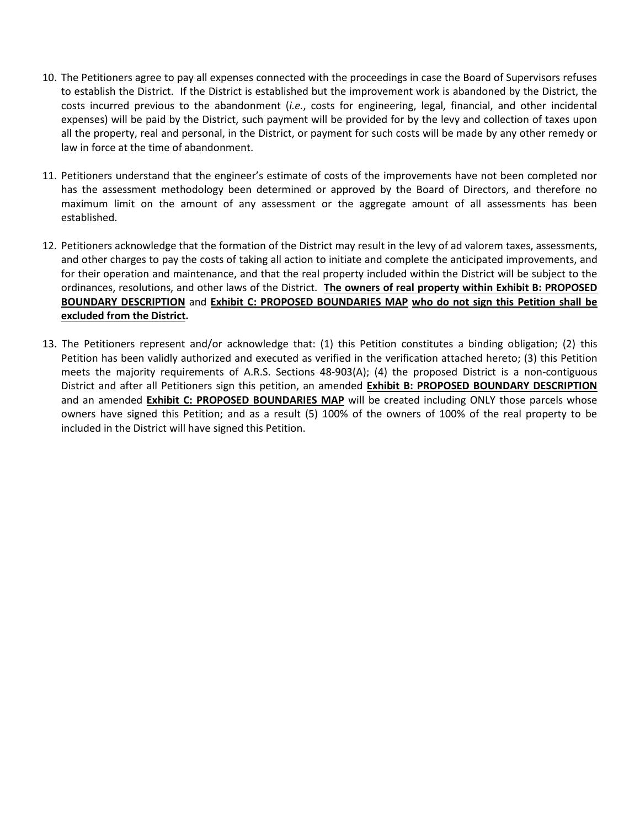- 10. The Petitioners agree to pay all expenses connected with the proceedings in case the Board of Supervisors refuses to establish the District. If the District is established but the improvement work is abandoned by the District, the costs incurred previous to the abandonment (*i.e.*, costs for engineering, legal, financial, and other incidental expenses) will be paid by the District, such payment will be provided for by the levy and collection of taxes upon all the property, real and personal, in the District, or payment for such costs will be made by any other remedy or law in force at the time of abandonment.
- 11. Petitioners understand that the engineer's estimate of costs of the improvements have not been completed nor has the assessment methodology been determined or approved by the Board of Directors, and therefore no maximum limit on the amount of any assessment or the aggregate amount of all assessments has been established.
- 12. Petitioners acknowledge that the formation of the District may result in the levy of ad valorem taxes, assessments, and other charges to pay the costs of taking all action to initiate and complete the anticipated improvements, and for their operation and maintenance, and that the real property included within the District will be subject to the ordinances, resolutions, and other laws of the District. **The owners of real property within Exhibit B: PROPOSED BOUNDARY DESCRIPTION** and **Exhibit C: PROPOSED BOUNDARIES MAP who do not sign this Petition shall be excluded from the District.**
- 13. The Petitioners represent and/or acknowledge that: (1) this Petition constitutes a binding obligation; (2) this Petition has been validly authorized and executed as verified in the verification attached hereto; (3) this Petition meets the majority requirements of A.R.S. Sections 48-903(A); (4) the proposed District is a non-contiguous District and after all Petitioners sign this petition, an amended **Exhibit B: PROPOSED BOUNDARY DESCRIPTION** and an amended **Exhibit C: PROPOSED BOUNDARIES MAP** will be created including ONLY those parcels whose owners have signed this Petition; and as a result (5) 100% of the owners of 100% of the real property to be included in the District will have signed this Petition.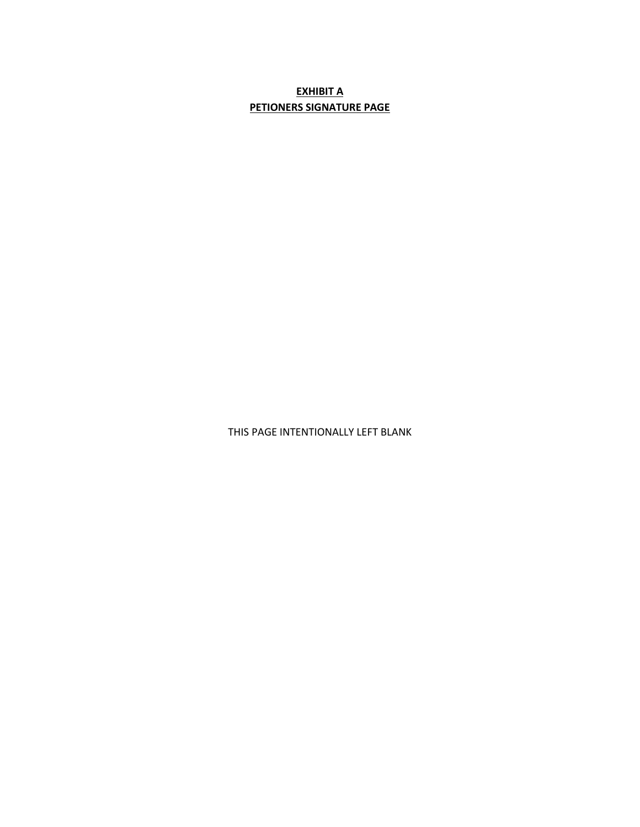# **EXHIBIT A PETIONERS SIGNATURE PAGE**

THIS PAGE INTENTIONALLY LEFT BLANK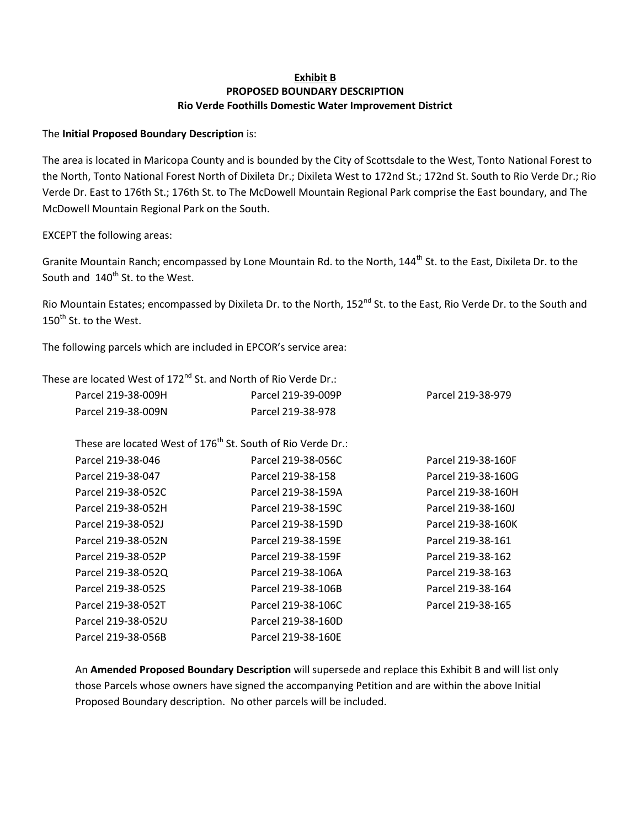## **Exhibit B PROPOSED BOUNDARY DESCRIPTION Rio Verde Foothills Domestic Water Improvement District**

## The **Initial Proposed Boundary Description** is:

The area is located in Maricopa County and is bounded by the City of Scottsdale to the West, Tonto National Forest to the North, Tonto National Forest North of Dixileta Dr.; Dixileta West to 172nd St.; 172nd St. South to Rio Verde Dr.; Rio Verde Dr. East to 176th St.; 176th St. to The McDowell Mountain Regional Park comprise the East boundary, and The McDowell Mountain Regional Park on the South.

EXCEPT the following areas:

Granite Mountain Ranch; encompassed by Lone Mountain Rd. to the North, 144<sup>th</sup> St. to the East, Dixileta Dr. to the South and 140<sup>th</sup> St. to the West.

Rio Mountain Estates; encompassed by Dixileta Dr. to the North, 152<sup>nd</sup> St. to the East, Rio Verde Dr. to the South and 150<sup>th</sup> St. to the West.

The following parcels which are included in EPCOR's service area:

These are located West of 172<sup>nd</sup> St. and North of Rio Verde Dr.:

| Parcel 219-38-009H | Parcel 219-39-009P                                                      | Parcel 219-38-979  |
|--------------------|-------------------------------------------------------------------------|--------------------|
| Parcel 219-38-009N | Parcel 219-38-978                                                       |                    |
|                    |                                                                         |                    |
|                    | These are located West of 176 <sup>th</sup> St. South of Rio Verde Dr.: |                    |
| Parcel 219-38-046  | Parcel 219-38-056C                                                      | Parcel 219-38-160F |
| Parcel 219-38-047  | Parcel 219-38-158                                                       | Parcel 219-38-160G |
| Parcel 219-38-052C | Parcel 219-38-159A                                                      | Parcel 219-38-160H |
| Parcel 219-38-052H | Parcel 219-38-159C                                                      | Parcel 219-38-160J |
| Parcel 219-38-052J | Parcel 219-38-159D                                                      | Parcel 219-38-160K |
| Parcel 219-38-052N | Parcel 219-38-159E                                                      | Parcel 219-38-161  |
| Parcel 219-38-052P | Parcel 219-38-159F                                                      | Parcel 219-38-162  |
| Parcel 219-38-052Q | Parcel 219-38-106A                                                      | Parcel 219-38-163  |
| Parcel 219-38-052S | Parcel 219-38-106B                                                      | Parcel 219-38-164  |
| Parcel 219-38-052T | Parcel 219-38-106C                                                      | Parcel 219-38-165  |
| Parcel 219-38-052U | Parcel 219-38-160D                                                      |                    |
| Parcel 219-38-056B | Parcel 219-38-160E                                                      |                    |

An **Amended Proposed Boundary Description** will supersede and replace this Exhibit B and will list only those Parcels whose owners have signed the accompanying Petition and are within the above Initial Proposed Boundary description. No other parcels will be included.